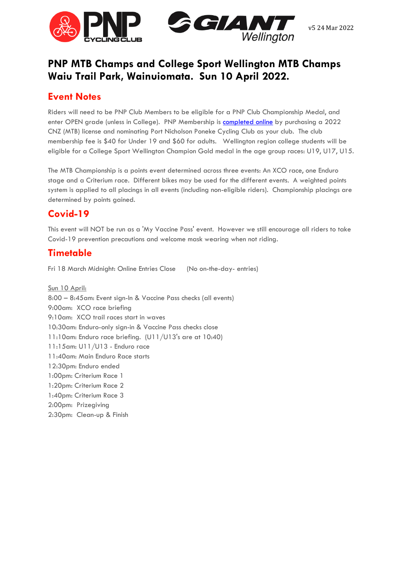

# **PNP MTB Champs and College Sport Wellington MTB Champs Waiu Trail Park, Wainuiomata. Sun 10 April 2022.**

## **Event Notes**

Riders will need to be PNP Club Members to be eligible for a PNP Club Championship Medal, and enter OPEN grade (unless in College). PNP Membership is **completed online** by purchasing a 2022 CNZ (MTB) license and nominating Port Nicholson Poneke Cycling Club as your club. The club membership fee is \$40 for Under 19 and \$60 for adults. Wellington region college students will be eligible for a College Sport Wellington Champion Gold medal in the age group races: U19, U17, U15.

The MTB Championship is a points event determined across three events: An XCO race, one Enduro stage and a Criterium race. Different bikes may be used for the different events. A weighted points system is applied to all placings in all events (including non-eligible riders). Championship placings are determined by points gained.

## **Covid-19**

This event will NOT be run as a 'My Vaccine Pass' event. However we still encourage all riders to take Covid-19 prevention precautions and welcome mask wearing when not riding.

## **Timetable**

Fri 18 March Midnight: Online Entries Close (No on-the-day- entries)

Sun 10 April: 8:00 – 8:45am: Event sign-In & Vaccine Pass checks (all events) 9:00am: XCO race briefing 9:10am: XCO trail races start in waves 10:30am: Enduro-only sign-in & Vaccine Pass checks close 11:10am: Enduro race briefing. (U11/U13's are at 10:40) 11:15am: U11/U13 - Enduro race 11:40am: Main Enduro Race starts 12:30pm: Enduro ended 1:00pm: Criterium Race 1 1:20pm: Criterium Race 2 1:40pm: Criterium Race 3 2:00pm: Prizegiving 2:30pm: Clean-up & Finish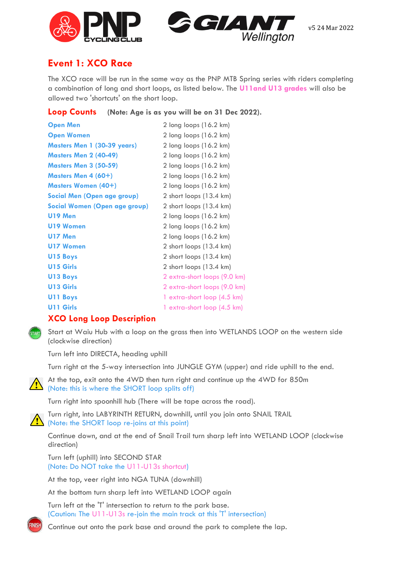



### **Event 1: XCO Race**

The XCO race will be run in the same way as the PNP MTB Spring series with riders completing a combination of long and short loops, as listed below. The **U11and U13 grades** will also be allowed two 'shortcuts' on the short loop.

|  | Loop Counts (Note: Age is as you will be on 31 Dec 2022). |
|--|-----------------------------------------------------------|
|  |                                                           |

| <b>Open Men</b>                      | 2 long loops (16.2 km)             |
|--------------------------------------|------------------------------------|
| <b>Open Women</b>                    | 2 long loops (16.2 km)             |
| <b>Masters Men 1 (30-39 years)</b>   | 2 long loops (16.2 km)             |
| <b>Masters Men 2 (40-49)</b>         | 2 long loops (16.2 km)             |
| <b>Masters Men 3 (50-59)</b>         | 2 long loops (16.2 km)             |
| Masters Men 4 (60+)                  | $2$ long loops $(16.2 \text{ km})$ |
| <b>Masters Women (40+)</b>           | $2$ long loops $(16.2 \text{ km})$ |
| Social Men (Open age group)          | 2 short loops (13.4 km)            |
| <b>Social Women (Open age group)</b> | 2 short loops (13.4 km)            |
| <b>U19 Men</b>                       | 2 long loops (16.2 km)             |
| U19 Women                            | 2 long loops (16.2 km)             |
| U17 Men                              | 2 long loops (16.2 km)             |
| <b>U17 Women</b>                     | 2 short loops (13.4 km)            |
| <b>U15 Boys</b>                      | 2 short loops (13.4 km)            |
| <b>U15 Girls</b>                     | 2 short loops (13.4 km)            |
| <b>U13 Boys</b>                      | 2 extra-short loops (9.0 km)       |
| U13 Girls                            | 2 extra-short loops (9.0 km)       |
| U11 Boys                             | 1 extra-short loop (4.5 km)        |
| <b>U11 Girls</b>                     | 1 extra-short loop (4.5 km)        |
|                                      |                                    |

#### **XCO Long Loop Description**



Start at Waiu Hub with a loop on the grass then into WETLANDS LOOP on the western side (clockwise direction)

Turn left into DIRECTA, heading uphill

Turn right at the 5-way intersection into JUNGLE GYM (upper) and ride uphill to the end.



At the top, exit onto the 4WD then turn right and continue up the 4WD for 850m (Note: this is where the SHORT loop splits off)

Turn right into spoonhill hub (There will be tape across the road).

Turn right, into LABYRINTH RETURN, downhill, until you join onto SNAIL TRAIL (Note: the SHORT loop re-joins at this point)

Continue down, and at the end of Snail Trail turn sharp left into WETLAND LOOP (clockwise direction)

Turn left (uphill) into SECOND STAR (Note: Do NOT take the U11-U13s shortcut)

At the top, veer right into NGA TUNA (downhill)

At the bottom turn sharp left into WETLAND LOOP again

Turn left at the 'T' intersection to return to the park base. (Caution: The U11-U13s re-join the main track at this 'T' intersection)



Continue out onto the park base and around the park to complete the lap.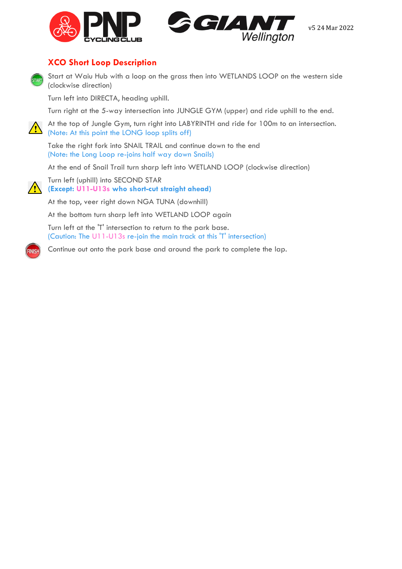



#### **XCO Short Loop Description**



Start at Waiu Hub with a loop on the grass then into WETLANDS LOOP on the western side (clockwise direction)

Turn left into DIRECTA, heading uphill.

Turn right at the 5-way intersection into JUNGLE GYM (upper) and ride uphill to the end.

At the top of Jungle Gym, turn right into LABYRINTH and ride for 100m to an intersection. (Note: At this point the LONG loop splits off)

Take the right fork into SNAIL TRAIL and continue down to the end (Note: the Long Loop re-joins half way down Snails)

At the end of Snail Trail turn sharp left into WETLAND LOOP (clockwise direction)



FINISI

Turn left (uphill) into SECOND STAR **(Except: U11-U13s who short-cut straight ahead)**

At the top, veer right down NGA TUNA (downhill)

At the bottom turn sharp left into WETLAND LOOP again

Turn left at the 'T' intersection to return to the park base. (Caution: The U11-U13s re-join the main track at this 'T' intersection)

Continue out onto the park base and around the park to complete the lap.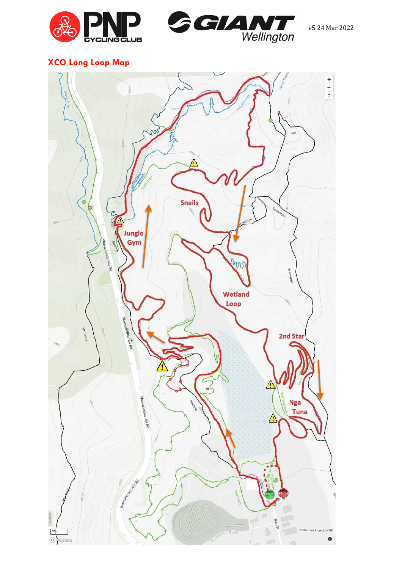



# **XCO Long Loop Map**

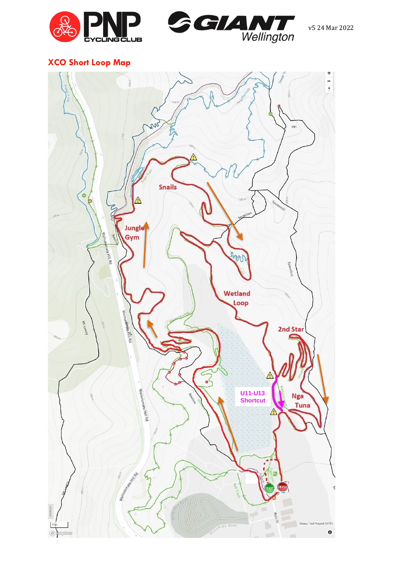



# **XCO Short Loop Map**

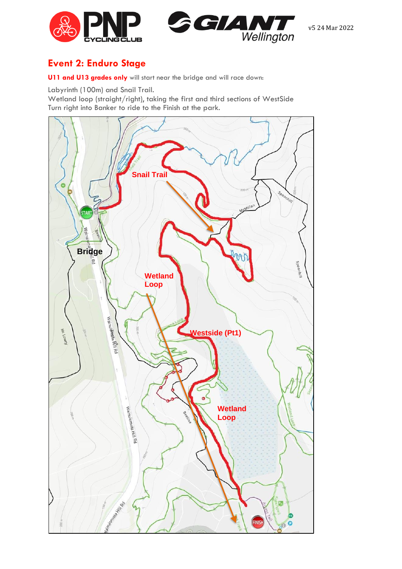



### **Event 2: Enduro Stage**

**U11 and U13 grades only** will start near the bridge and will race down:

Labyrinth (100m) and Snail Trail.

Wetland loop (straight/right), taking the first and third sections of WestSide Turn right into Banker to ride to the Finish at the park.

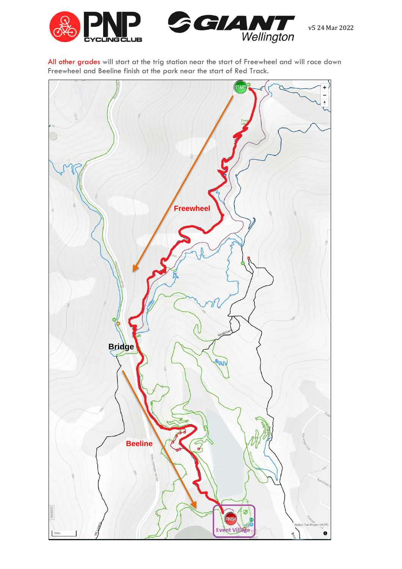

All other grades will start at the trig station near the start of Freewheel and will race down Freewheel and Beeline finish at the park near the start of Red Track.